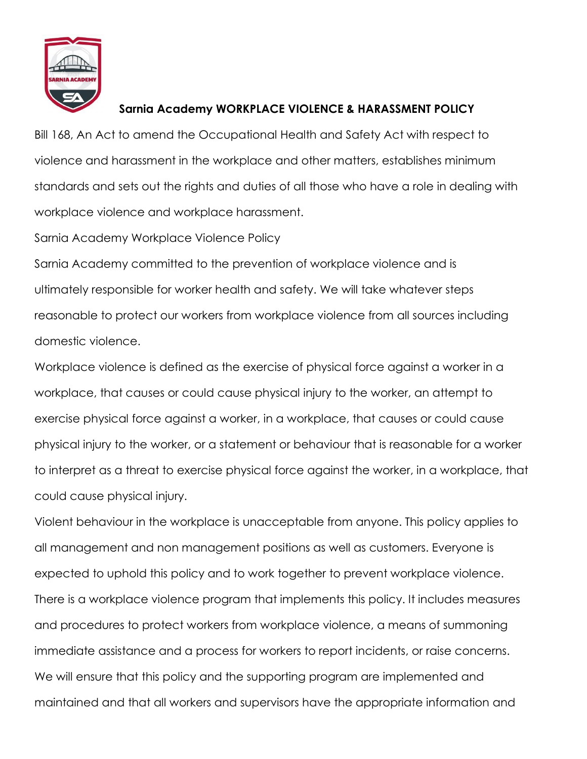

## **Sarnia Academy WORKPLACE VIOLENCE & HARASSMENT POLICY**

Bill 168, An Act to amend the Occupational Health and Safety Act with respect to violence and harassment in the workplace and other matters, establishes minimum standards and sets out the rights and duties of all those who have a role in dealing with workplace violence and workplace harassment.

Sarnia Academy Workplace Violence Policy

Sarnia Academy committed to the prevention of workplace violence and is ultimately responsible for worker health and safety. We will take whatever steps reasonable to protect our workers from workplace violence from all sources including domestic violence.

Workplace violence is defined as the exercise of physical force against a worker in a workplace, that causes or could cause physical injury to the worker, an attempt to exercise physical force against a worker, in a workplace, that causes or could cause physical injury to the worker, or a statement or behaviour that is reasonable for a worker to interpret as a threat to exercise physical force against the worker, in a workplace, that could cause physical injury.

Violent behaviour in the workplace is unacceptable from anyone. This policy applies to all management and non management positions as well as customers. Everyone is expected to uphold this policy and to work together to prevent workplace violence. There is a workplace violence program that implements this policy. It includes measures and procedures to protect workers from workplace violence, a means of summoning immediate assistance and a process for workers to report incidents, or raise concerns. We will ensure that this policy and the supporting program are implemented and maintained and that all workers and supervisors have the appropriate information and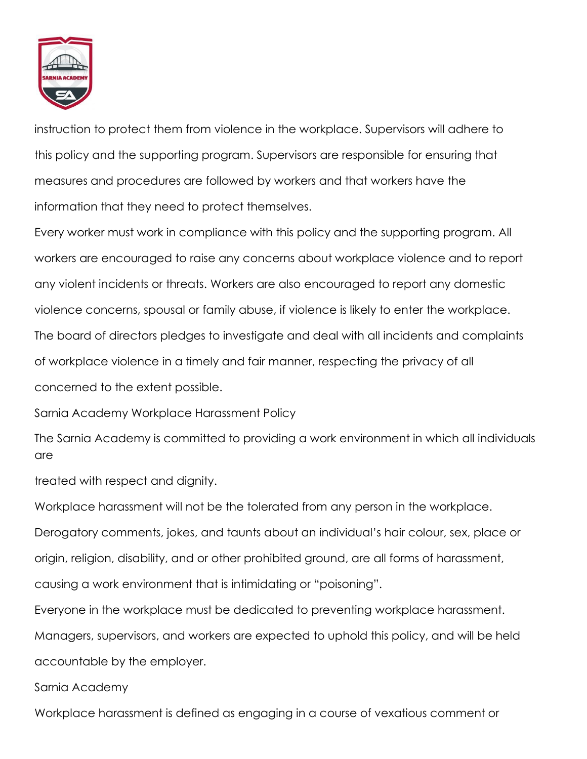

instruction to protect them from violence in the workplace. Supervisors will adhere to this policy and the supporting program. Supervisors are responsible for ensuring that measures and procedures are followed by workers and that workers have the information that they need to protect themselves.

Every worker must work in compliance with this policy and the supporting program. All workers are encouraged to raise any concerns about workplace violence and to report any violent incidents or threats. Workers are also encouraged to report any domestic violence concerns, spousal or family abuse, if violence is likely to enter the workplace. The board of directors pledges to investigate and deal with all incidents and complaints of workplace violence in a timely and fair manner, respecting the privacy of all concerned to the extent possible.

Sarnia Academy Workplace Harassment Policy

The Sarnia Academy is committed to providing a work environment in which all individuals are

treated with respect and dignity.

Workplace harassment will not be the tolerated from any person in the workplace. Derogatory comments, jokes, and taunts about an individual's hair colour, sex, place or origin, religion, disability, and or other prohibited ground, are all forms of harassment, causing a work environment that is intimidating or "poisoning".

Everyone in the workplace must be dedicated to preventing workplace harassment. Managers, supervisors, and workers are expected to uphold this policy, and will be held accountable by the employer.

Sarnia Academy

Workplace harassment is defined as engaging in a course of vexatious comment or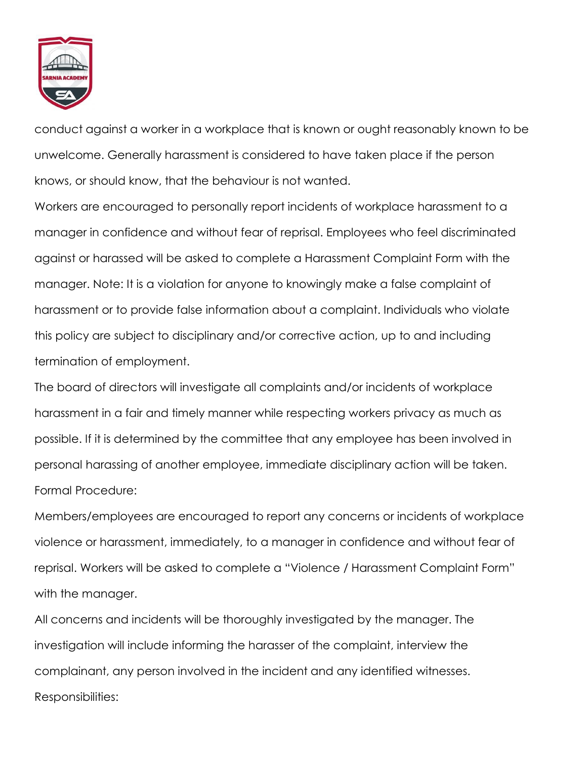

conduct against a worker in a workplace that is known or ought reasonably known to be unwelcome. Generally harassment is considered to have taken place if the person knows, or should know, that the behaviour is not wanted.

Workers are encouraged to personally report incidents of workplace harassment to a manager in confidence and without fear of reprisal. Employees who feel discriminated against or harassed will be asked to complete a Harassment Complaint Form with the manager. Note: It is a violation for anyone to knowingly make a false complaint of harassment or to provide false information about a complaint. Individuals who violate this policy are subject to disciplinary and/or corrective action, up to and including termination of employment.

The board of directors will investigate all complaints and/or incidents of workplace harassment in a fair and timely manner while respecting workers privacy as much as possible. If it is determined by the committee that any employee has been involved in personal harassing of another employee, immediate disciplinary action will be taken. Formal Procedure:

Members/employees are encouraged to report any concerns or incidents of workplace violence or harassment, immediately, to a manager in confidence and without fear of reprisal. Workers will be asked to complete a "Violence / Harassment Complaint Form" with the manager.

All concerns and incidents will be thoroughly investigated by the manager. The investigation will include informing the harasser of the complaint, interview the complainant, any person involved in the incident and any identified witnesses. Responsibilities: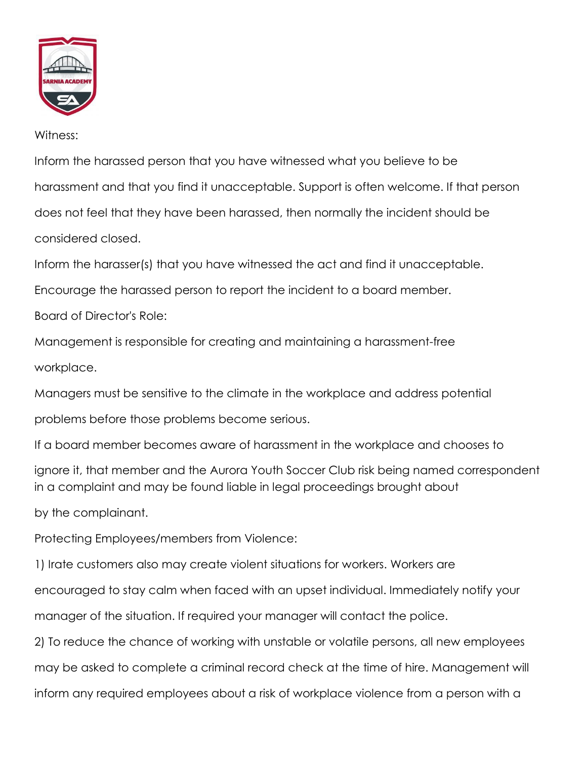

## Witness:

Inform the harassed person that you have witnessed what you believe to be harassment and that you find it unacceptable. Support is often welcome. If that person does not feel that they have been harassed, then normally the incident should be considered closed.

Inform the harasser(s) that you have witnessed the act and find it unacceptable.

Encourage the harassed person to report the incident to a board member.

Board of Director's Role:

Management is responsible for creating and maintaining a harassment-free workplace.

Managers must be sensitive to the climate in the workplace and address potential

problems before those problems become serious.

If a board member becomes aware of harassment in the workplace and chooses to

ignore it, that member and the Aurora Youth Soccer Club risk being named correspondent in a complaint and may be found liable in legal proceedings brought about

by the complainant.

Protecting Employees/members from Violence:

1) Irate customers also may create violent situations for workers. Workers are

encouraged to stay calm when faced with an upset individual. Immediately notify your

manager of the situation. If required your manager will contact the police.

2) To reduce the chance of working with unstable or volatile persons, all new employees may be asked to complete a criminal record check at the time of hire. Management will inform any required employees about a risk of workplace violence from a person with a